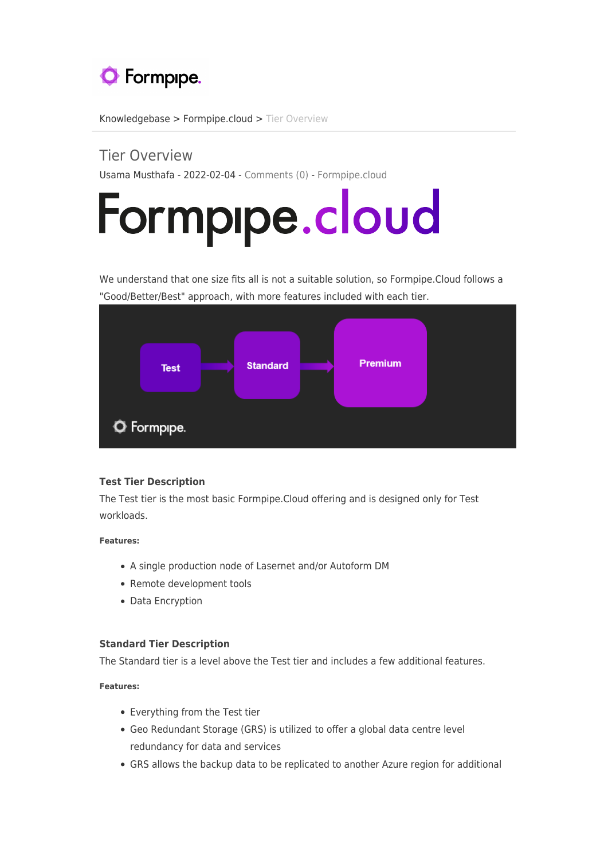

[Knowledgebase](https://support.formpipe.com/kb) > [Formpipe.cloud](https://support.formpipe.com/kb/formpipe-cloud) > [Tier Overview](https://support.formpipe.com/kb/articles/tier-overview)

# Tier Overview

Usama Musthafa - 2022-02-04 - [Comments \(0\)](#page--1-0) - [Formpipe.cloud](https://support.formpipe.com/kb/formpipe-cloud)

# Formpipe.cloud

We understand that one size fits all is not a suitable solution, so Formpipe.Cloud follows a "Good/Better/Best" approach, with more features included with each tier.



## **Test Tier Description**

The Test tier is the most basic Formpipe.Cloud offering and is designed only for Test workloads.

**Features:**

- A single production node of Lasernet and/or Autoform DM
- Remote development tools
- Data Encryption

## **Standard Tier Description**

The Standard tier is a level above the Test tier and includes a few additional features.

**Features:** 

- Everything from the Test tier
- Geo Redundant Storage (GRS) is utilized to offer a global data centre level redundancy for data and services
- GRS allows the backup data to be replicated to another Azure region for additional